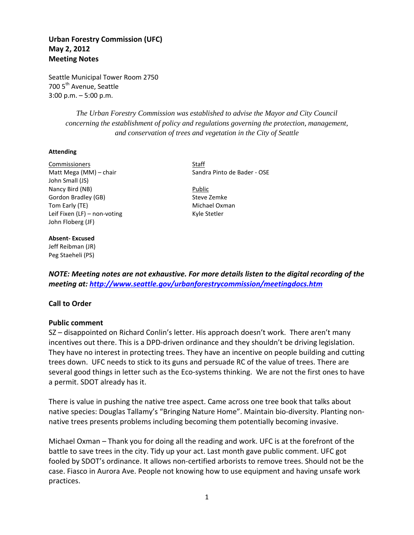# **Urban Forestry Commission (UFC) May 2, 2012 Meeting Notes**

Seattle Municipal Tower Room 2750 700 5<sup>th</sup> Avenue, Seattle 3:00 p.m. – 5:00 p.m.

> *The Urban Forestry Commission was established to advise the Mayor and City Council concerning the establishment of policy and regulations governing the protection, management, and conservation of trees and vegetation in the City of Seattle*

#### **Attending**

Commissioners **Staff** Matt Mega (MM) – chair Sandra Pinto de Bader - OSE John Small (JS) Nancy Bird (NB) Public Gordon Bradley (GB) Steve Zemke Tom Early (TE) **Michael Oxman** Leif Fixen (LF) – non-voting Kyle Stetler John Floberg (JF)

#### **Absent- Excused**

Jeff Reibman (JR) Peg Staeheli (PS)

*NOTE: Meeting notes are not exhaustive. For more details listen to the digital recording of the meeting at:<http://www.seattle.gov/urbanforestrycommission/meetingdocs.htm>*

# **Call to Order**

### **Public comment**

SZ – disappointed on Richard Conlin's letter. His approach doesn't work. There aren't many incentives out there. This is a DPD-driven ordinance and they shouldn't be driving legislation. They have no interest in protecting trees. They have an incentive on people building and cutting trees down. UFC needs to stick to its guns and persuade RC of the value of trees. There are several good things in letter such as the Eco-systems thinking. We are not the first ones to have a permit. SDOT already has it.

There is value in pushing the native tree aspect. Came across one tree book that talks about native species: Douglas Tallamy's "Bringing Nature Home". Maintain bio-diversity. Planting nonnative trees presents problems including becoming them potentially becoming invasive.

Michael Oxman – Thank you for doing all the reading and work. UFC is at the forefront of the battle to save trees in the city. Tidy up your act. Last month gave public comment. UFC got fooled by SDOT's ordinance. It allows non-certified arborists to remove trees. Should not be the case. Fiasco in Aurora Ave. People not knowing how to use equipment and having unsafe work practices.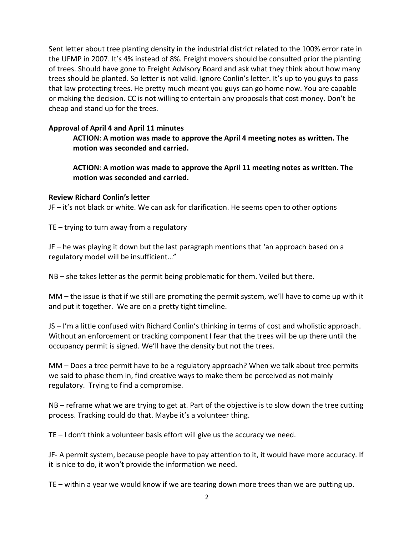Sent letter about tree planting density in the industrial district related to the 100% error rate in the UFMP in 2007. It's 4% instead of 8%. Freight movers should be consulted prior the planting of trees. Should have gone to Freight Advisory Board and ask what they think about how many trees should be planted. So letter is not valid. Ignore Conlin's letter. It's up to you guys to pass that law protecting trees. He pretty much meant you guys can go home now. You are capable or making the decision. CC is not willing to entertain any proposals that cost money. Don't be cheap and stand up for the trees.

# **Approval of April 4 and April 11 minutes**

**ACTION**: **A motion was made to approve the April 4 meeting notes as written. The motion was seconded and carried.** 

**ACTION**: **A motion was made to approve the April 11 meeting notes as written. The motion was seconded and carried.** 

# **Review Richard Conlin's letter**

JF – it's not black or white. We can ask for clarification. He seems open to other options

TE – trying to turn away from a regulatory

JF – he was playing it down but the last paragraph mentions that 'an approach based on a regulatory model will be insufficient…"

NB – she takes letter as the permit being problematic for them. Veiled but there.

MM – the issue is that if we still are promoting the permit system, we'll have to come up with it and put it together. We are on a pretty tight timeline.

JS – I'm a little confused with Richard Conlin's thinking in terms of cost and wholistic approach. Without an enforcement or tracking component I fear that the trees will be up there until the occupancy permit is signed. We'll have the density but not the trees.

MM – Does a tree permit have to be a regulatory approach? When we talk about tree permits we said to phase them in, find creative ways to make them be perceived as not mainly regulatory. Trying to find a compromise.

NB – reframe what we are trying to get at. Part of the objective is to slow down the tree cutting process. Tracking could do that. Maybe it's a volunteer thing.

TE – I don't think a volunteer basis effort will give us the accuracy we need.

JF- A permit system, because people have to pay attention to it, it would have more accuracy. If it is nice to do, it won't provide the information we need.

TE – within a year we would know if we are tearing down more trees than we are putting up.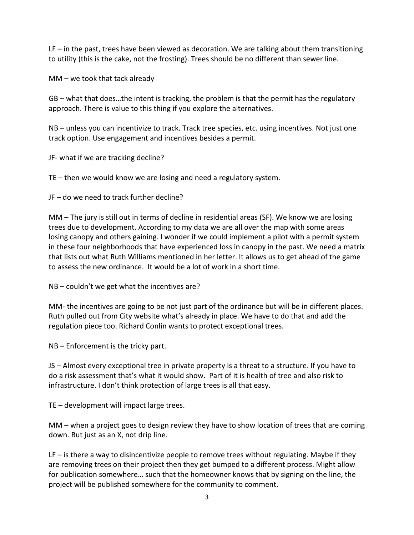LF – in the past, trees have been viewed as decoration. We are talking about them transitioning to utility (this is the cake, not the frosting). Trees should be no different than sewer line.

MM – we took that tack already

GB – what that does…the intent is tracking, the problem is that the permit has the regulatory approach. There is value to this thing if you explore the alternatives.

NB – unless you can incentivize to track. Track tree species, etc. using incentives. Not just one track option. Use engagement and incentives besides a permit.

JF- what if we are tracking decline?

TE – then we would know we are losing and need a regulatory system.

JF – do we need to track further decline?

MM – The jury is still out in terms of decline in residential areas (SF). We know we are losing trees due to development. According to my data we are all over the map with some areas losing canopy and others gaining. I wonder if we could implement a pilot with a permit system in these four neighborhoods that have experienced loss in canopy in the past. We need a matrix that lists out what Ruth Williams mentioned in her letter. It allows us to get ahead of the game to assess the new ordinance. It would be a lot of work in a short time.

NB – couldn't we get what the incentives are?

MM- the incentives are going to be not just part of the ordinance but will be in different places. Ruth pulled out from City website what's already in place. We have to do that and add the regulation piece too. Richard Conlin wants to protect exceptional trees.

NB – Enforcement is the tricky part.

JS – Almost every exceptional tree in private property is a threat to a structure. If you have to do a risk assessment that's what it would show. Part of it is health of tree and also risk to infrastructure. I don't think protection of large trees is all that easy.

TE – development will impact large trees.

MM – when a project goes to design review they have to show location of trees that are coming down. But just as an X, not drip line.

LF – is there a way to disincentivize people to remove trees without regulating. Maybe if they are removing trees on their project then they get bumped to a different process. Might allow for publication somewhere… such that the homeowner knows that by signing on the line, the project will be published somewhere for the community to comment.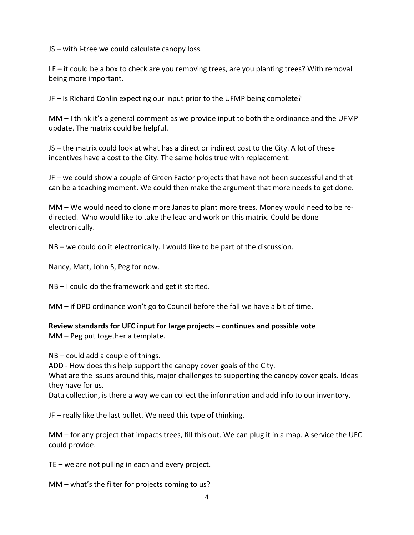JS – with i-tree we could calculate canopy loss.

LF – it could be a box to check are you removing trees, are you planting trees? With removal being more important.

JF – Is Richard Conlin expecting our input prior to the UFMP being complete?

MM – I think it's a general comment as we provide input to both the ordinance and the UFMP update. The matrix could be helpful.

JS – the matrix could look at what has a direct or indirect cost to the City. A lot of these incentives have a cost to the City. The same holds true with replacement.

JF – we could show a couple of Green Factor projects that have not been successful and that can be a teaching moment. We could then make the argument that more needs to get done.

MM – We would need to clone more Janas to plant more trees. Money would need to be redirected. Who would like to take the lead and work on this matrix. Could be done electronically.

NB – we could do it electronically. I would like to be part of the discussion.

Nancy, Matt, John S, Peg for now.

NB – I could do the framework and get it started.

MM – if DPD ordinance won't go to Council before the fall we have a bit of time.

**Review standards for UFC input for large projects – continues and possible vote** MM – Peg put together a template.

NB – could add a couple of things.

ADD - How does this help support the canopy cover goals of the City.

What are the issues around this, major challenges to supporting the canopy cover goals. Ideas they have for us.

Data collection, is there a way we can collect the information and add info to our inventory.

JF – really like the last bullet. We need this type of thinking.

MM – for any project that impacts trees, fill this out. We can plug it in a map. A service the UFC could provide.

TE – we are not pulling in each and every project.

MM – what's the filter for projects coming to us?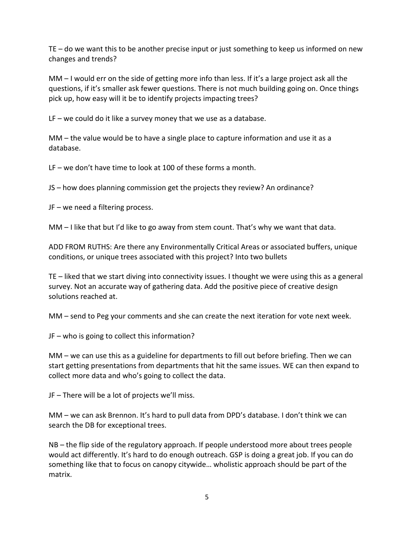TE – do we want this to be another precise input or just something to keep us informed on new changes and trends?

MM – I would err on the side of getting more info than less. If it's a large project ask all the questions, if it's smaller ask fewer questions. There is not much building going on. Once things pick up, how easy will it be to identify projects impacting trees?

 $LF - we could do it like a survey money that we use as a database.$ 

MM – the value would be to have a single place to capture information and use it as a database.

LF – we don't have time to look at 100 of these forms a month.

JS – how does planning commission get the projects they review? An ordinance?

JF – we need a filtering process.

MM – I like that but I'd like to go away from stem count. That's why we want that data.

ADD FROM RUTHS: Are there any Environmentally Critical Areas or associated buffers, unique conditions, or unique trees associated with this project? Into two bullets

TE – liked that we start diving into connectivity issues. I thought we were using this as a general survey. Not an accurate way of gathering data. Add the positive piece of creative design solutions reached at.

MM – send to Peg your comments and she can create the next iteration for vote next week.

JF – who is going to collect this information?

MM – we can use this as a guideline for departments to fill out before briefing. Then we can start getting presentations from departments that hit the same issues. WE can then expand to collect more data and who's going to collect the data.

JF – There will be a lot of projects we'll miss.

MM – we can ask Brennon. It's hard to pull data from DPD's database. I don't think we can search the DB for exceptional trees.

NB – the flip side of the regulatory approach. If people understood more about trees people would act differently. It's hard to do enough outreach. GSP is doing a great job. If you can do something like that to focus on canopy citywide… wholistic approach should be part of the matrix.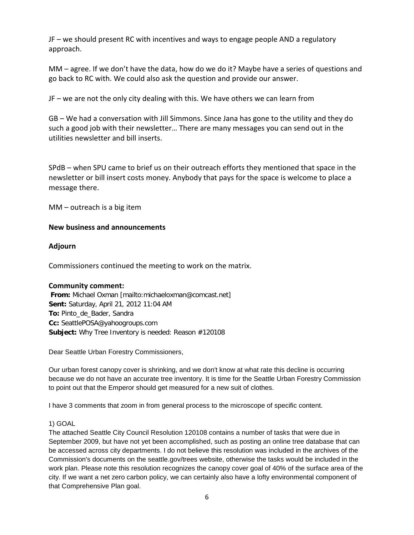JF – we should present RC with incentives and ways to engage people AND a regulatory approach.

MM – agree. If we don't have the data, how do we do it? Maybe have a series of questions and go back to RC with. We could also ask the question and provide our answer.

JF – we are not the only city dealing with this. We have others we can learn from

GB – We had a conversation with Jill Simmons. Since Jana has gone to the utility and they do such a good job with their newsletter… There are many messages you can send out in the utilities newsletter and bill inserts.

SPdB – when SPU came to brief us on their outreach efforts they mentioned that space in the newsletter or bill insert costs money. Anybody that pays for the space is welcome to place a message there.

MM – outreach is a big item

## **New business and announcements**

## **Adjourn**

Commissioners continued the meeting to work on the matrix.

### **Community comment:**

**From:** Michael Oxman [mailto:michaeloxman@comcast.net] **Sent:** Saturday, April 21, 2012 11:04 AM **To:** Pinto\_de\_Bader, Sandra **Cc:** SeattlePOSA@yahoogroups.com **Subject:** Why Tree Inventory is needed: Reason #120108

Dear Seattle Urban Forestry Commissioners,

Our urban forest canopy cover is shrinking, and we don't know at what rate this decline is occurring because we do not have an accurate tree inventory. It is time for the Seattle Urban Forestry Commission to point out that the Emperor should get measured for a new suit of clothes.

I have 3 comments that zoom in from general process to the microscope of specific content.

### 1) GOAL

The attached Seattle City Council Resolution 120108 contains a number of tasks that were due in September 2009, but have not yet been accomplished, such as posting an online tree database that can be accessed across city departments. I do not believe this resolution was included in the archives of the Commission's documents on the seattle.gov/trees website, otherwise the tasks would be included in the work plan. Please note this resolution recognizes the canopy cover goal of 40% of the surface area of the city. If we want a net zero carbon policy, we can certainly also have a lofty environmental component of that Comprehensive Plan goal.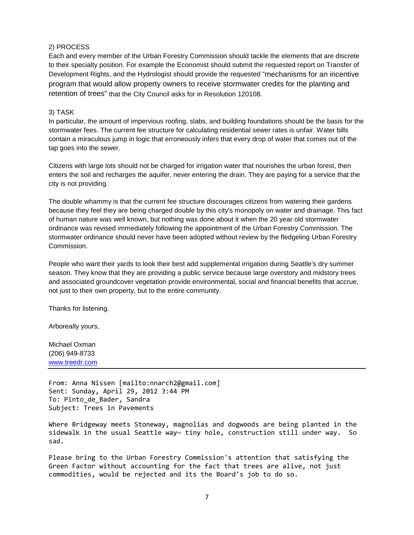#### 2) PROCESS

Each and every member of the Urban Forestry Commission should tackle the elements that are discrete to their specialty position. For example the Economist should submit the requested report on Transfer of Development Rights, and the Hydrologist should provide the requested "mechanisms for an incentive program that would allow property owners to receive stormwater credits for the planting and retention of trees" that the City Council asks for in Resolution 120108.

#### 3) TASK

In particular, the amount of impervious roofing, slabs, and building foundations should be the basis for the stormwater fees. The current fee structure for calculating residential sewer rates is unfair. Water bills contain a miraculous jump in logic that erroneously infers that every drop of water that comes out of the tap goes into the sewer.

Citizens with large lots should not be charged for irrigation water that nourishes the urban forest, then enters the soil and recharges the aquifer, never entering the drain. They are paying for a service that the city is not providing.

The double whammy is that the current fee structure discourages citizens from watering their gardens because they feel they are being charged double by this city's monopoly on water and drainage. This fact of human nature was well known, but nothing was done about it when the 20 year old stormwater ordinance was revised immediately following the appointment of the Urban Forestry Commission. The stormwater ordinance should never have been adopted without review by the fledgeling Urban Forestry Commission.

People who want their yards to look their best add supplemental irrigation during Seattle's dry summer season. They know that they are providing a public service because large overstory and midstory trees and associated groundcover vegetation provide environmental, social and financial benefits that accrue, not just to their own property, but to the entire community.

Thanks for listening.

Arboreally yours,

Michael Oxman (206) 949-8733 [www.treedr.com](http://www.treedr.com/)

From: Anna Nissen [mailto:nnarch2@gmail.com] Sent: Sunday, April 29, 2012 3:44 PM To: Pinto de Bader, Sandra Subject: Trees in Pavements

Where Bridgeway meets Stoneway, magnolias and dogwoods are being planted in the sidewalk in the usual Seattle way- tiny hole, construction still under way. So sad.

Please bring to the Urban Forestry Commission's attention that satisfying the Green Factor without accounting for the fact that trees are alive, not just commodities, would be rejected and its the Board's job to do so.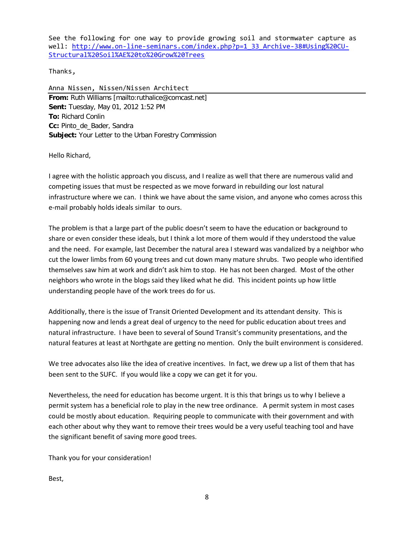See the following for one way to provide growing soil and stormwater capture as well: [http://www.on-line-seminars.com/index.php?p=1\\_33\\_Archive-38#Using%20CU-](http://www.on-line-seminars.com/index.php?p=1_33_Archive-38#Using%20CU-Structural%20Soil%AE%20to%20Grow%20Trees)[Structural%20Soil%AE%20to%20Grow%20Trees](http://www.on-line-seminars.com/index.php?p=1_33_Archive-38#Using%20CU-Structural%20Soil%AE%20to%20Grow%20Trees)

Thanks,

Anna Nissen, Nissen/Nissen Architect **From:** Ruth Williams [mailto:ruthalice@comcast.net] **Sent:** Tuesday, May 01, 2012 1:52 PM **To:** Richard Conlin **Cc:** Pinto\_de\_Bader, Sandra **Subject:** Your Letter to the Urban Forestry Commission

Hello Richard,

I agree with the holistic approach you discuss, and I realize as well that there are numerous valid and competing issues that must be respected as we move forward in rebuilding our lost natural infrastructure where we can. I think we have about the same vision, and anyone who comes across this e-mail probably holds ideals similar to ours.

The problem is that a large part of the public doesn't seem to have the education or background to share or even consider these ideals, but I think a lot more of them would if they understood the value and the need. For example, last December the natural area I steward was vandalized by a neighbor who cut the lower limbs from 60 young trees and cut down many mature shrubs. Two people who identified themselves saw him at work and didn't ask him to stop. He has not been charged. Most of the other neighbors who wrote in the blogs said they liked what he did. This incident points up how little understanding people have of the work trees do for us.

Additionally, there is the issue of Transit Oriented Development and its attendant density. This is happening now and lends a great deal of urgency to the need for public education about trees and natural infrastructure. I have been to several of Sound Transit's community presentations, and the natural features at least at Northgate are getting no mention. Only the built environment is considered.

We tree advocates also like the idea of creative incentives. In fact, we drew up a list of them that has been sent to the SUFC. If you would like a copy we can get it for you.

Nevertheless, the need for education has become urgent. It is this that brings us to why I believe a permit system has a beneficial role to play in the new tree ordinance. A permit system in most cases could be mostly about education. Requiring people to communicate with their government and with each other about why they want to remove their trees would be a very useful teaching tool and have the significant benefit of saving more good trees.

Thank you for your consideration!

Best,